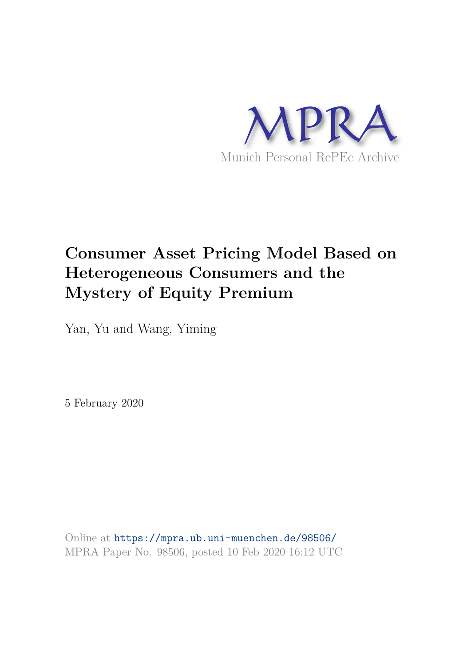

# **Consumer Asset Pricing Model Based on Heterogeneous Consumers and the Mystery of Equity Premium**

Yan, Yu and Wang, Yiming

5 February 2020

Online at https://mpra.ub.uni-muenchen.de/98506/ MPRA Paper No. 98506, posted 10 Feb 2020 16:12 UTC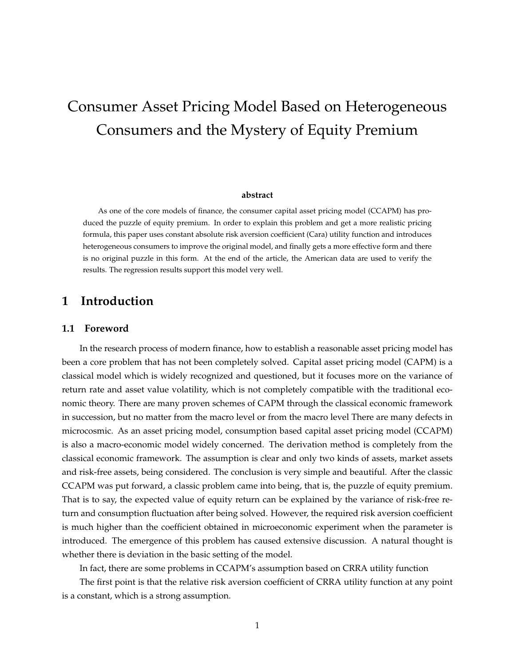# Consumer Asset Pricing Model Based on Heterogeneous Consumers and the Mystery of Equity Premium

#### **abstract**

As one of the core models of finance, the consumer capital asset pricing model (CCAPM) has produced the puzzle of equity premium. In order to explain this problem and get a more realistic pricing formula, this paper uses constant absolute risk aversion coefficient (Cara) utility function and introduces heterogeneous consumers to improve the original model, and finally gets a more effective form and there is no original puzzle in this form. At the end of the article, the American data are used to verify the results. The regression results support this model very well.

### **1 Introduction**

### **1.1 Foreword**

In the research process of modern finance, how to establish a reasonable asset pricing model has been a core problem that has not been completely solved. Capital asset pricing model (CAPM) is a classical model which is widely recognized and questioned, but it focuses more on the variance of return rate and asset value volatility, which is not completely compatible with the traditional economic theory. There are many proven schemes of CAPM through the classical economic framework in succession, but no matter from the macro level or from the macro level There are many defects in microcosmic. As an asset pricing model, consumption based capital asset pricing model (CCAPM) is also a macro-economic model widely concerned. The derivation method is completely from the classical economic framework. The assumption is clear and only two kinds of assets, market assets and risk-free assets, being considered. The conclusion is very simple and beautiful. After the classic CCAPM was put forward, a classic problem came into being, that is, the puzzle of equity premium. That is to say, the expected value of equity return can be explained by the variance of risk-free return and consumption fluctuation after being solved. However, the required risk aversion coefficient is much higher than the coefficient obtained in microeconomic experiment when the parameter is introduced. The emergence of this problem has caused extensive discussion. A natural thought is whether there is deviation in the basic setting of the model.

In fact, there are some problems in CCAPM's assumption based on CRRA utility function

The first point is that the relative risk aversion coefficient of CRRA utility function at any point is a constant, which is a strong assumption.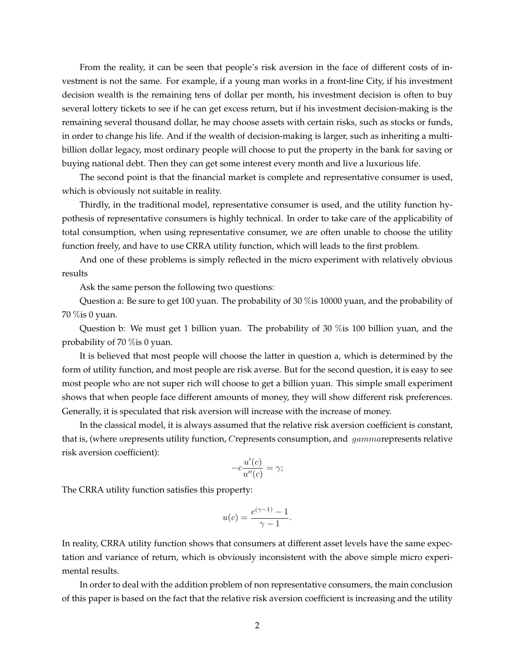From the reality, it can be seen that people's risk aversion in the face of different costs of investment is not the same. For example, if a young man works in a front-line City, if his investment decision wealth is the remaining tens of dollar per month, his investment decision is often to buy several lottery tickets to see if he can get excess return, but if his investment decision-making is the remaining several thousand dollar, he may choose assets with certain risks, such as stocks or funds, in order to change his life. And if the wealth of decision-making is larger, such as inheriting a multibillion dollar legacy, most ordinary people will choose to put the property in the bank for saving or buying national debt. Then they can get some interest every month and live a luxurious life.

The second point is that the financial market is complete and representative consumer is used, which is obviously not suitable in reality.

Thirdly, in the traditional model, representative consumer is used, and the utility function hypothesis of representative consumers is highly technical. In order to take care of the applicability of total consumption, when using representative consumer, we are often unable to choose the utility function freely, and have to use CRRA utility function, which will leads to the first problem.

And one of these problems is simply reflected in the micro experiment with relatively obvious results

Ask the same person the following two questions:

Question a: Be sure to get 100 yuan. The probability of 30 %is 10000 yuan, and the probability of 70 %is 0 yuan.

Question b: We must get 1 billion yuan. The probability of 30 %is 100 billion yuan, and the probability of 70 %is 0 yuan.

It is believed that most people will choose the latter in question a, which is determined by the form of utility function, and most people are risk averse. But for the second question, it is easy to see most people who are not super rich will choose to get a billion yuan. This simple small experiment shows that when people face different amounts of money, they will show different risk preferences. Generally, it is speculated that risk aversion will increase with the increase of money.

In the classical model, it is always assumed that the relative risk aversion coefficient is constant, that is, (where urepresents utility function, Crepresents consumption, and *gammarepresents relative* risk aversion coefficient):

$$
-c\frac{u'(c)}{u''(c)} = \gamma;
$$

The CRRA utility function satisfies this property:

$$
u(c) = \frac{c^{(\gamma - 1)} - 1}{\gamma - 1}.
$$

In reality, CRRA utility function shows that consumers at different asset levels have the same expectation and variance of return, which is obviously inconsistent with the above simple micro experimental results.

In order to deal with the addition problem of non representative consumers, the main conclusion of this paper is based on the fact that the relative risk aversion coefficient is increasing and the utility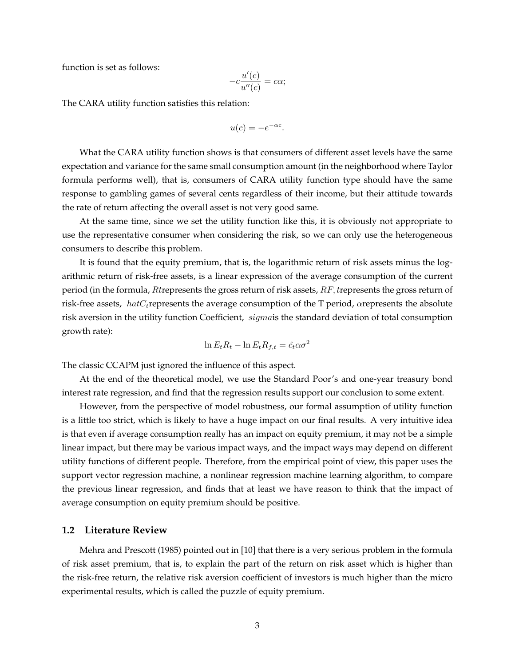function is set as follows:

$$
-c\frac{u'(c)}{u''(c)} = c\alpha;
$$

The CARA utility function satisfies this relation:

$$
u(c) = -e^{-\alpha c}.
$$

What the CARA utility function shows is that consumers of different asset levels have the same expectation and variance for the same small consumption amount (in the neighborhood where Taylor formula performs well), that is, consumers of CARA utility function type should have the same response to gambling games of several cents regardless of their income, but their attitude towards the rate of return affecting the overall asset is not very good same.

At the same time, since we set the utility function like this, it is obviously not appropriate to use the representative consumer when considering the risk, so we can only use the heterogeneous consumers to describe this problem.

It is found that the equity premium, that is, the logarithmic return of risk assets minus the logarithmic return of risk-free assets, is a linear expression of the average consumption of the current period (in the formula, Rtrepresents the gross return of risk assets,  $RF$ , trepresents the gross return of risk-free assets,  $hatC_t$ represents the average consumption of the T period,  $\alpha$ represents the absolute risk aversion in the utility function Coefficient, sigmais the standard deviation of total consumption growth rate):

$$
\ln E_t R_t - \ln E_t R_{f,t} = \hat{c}_t \alpha \sigma^2
$$

The classic CCAPM just ignored the influence of this aspect.

At the end of the theoretical model, we use the Standard Poor's and one-year treasury bond interest rate regression, and find that the regression results support our conclusion to some extent.

However, from the perspective of model robustness, our formal assumption of utility function is a little too strict, which is likely to have a huge impact on our final results. A very intuitive idea is that even if average consumption really has an impact on equity premium, it may not be a simple linear impact, but there may be various impact ways, and the impact ways may depend on different utility functions of different people. Therefore, from the empirical point of view, this paper uses the support vector regression machine, a nonlinear regression machine learning algorithm, to compare the previous linear regression, and finds that at least we have reason to think that the impact of average consumption on equity premium should be positive.

### **1.2 Literature Review**

Mehra and Prescott (1985) pointed out in [10] that there is a very serious problem in the formula of risk asset premium, that is, to explain the part of the return on risk asset which is higher than the risk-free return, the relative risk aversion coefficient of investors is much higher than the micro experimental results, which is called the puzzle of equity premium.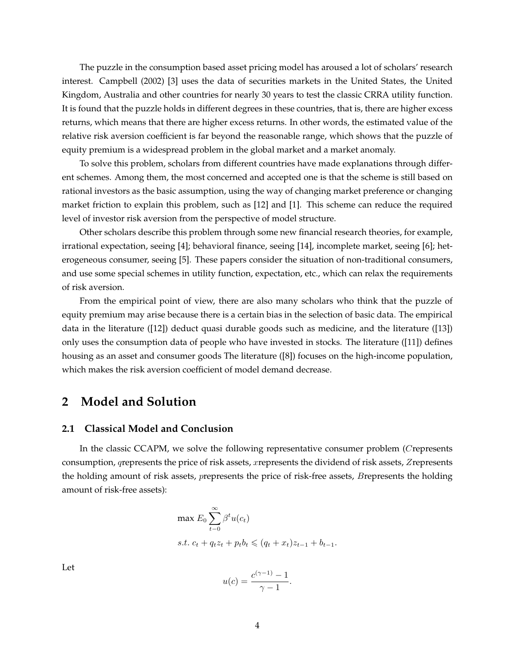The puzzle in the consumption based asset pricing model has aroused a lot of scholars' research interest. Campbell (2002) [3] uses the data of securities markets in the United States, the United Kingdom, Australia and other countries for nearly 30 years to test the classic CRRA utility function. It is found that the puzzle holds in different degrees in these countries, that is, there are higher excess returns, which means that there are higher excess returns. In other words, the estimated value of the relative risk aversion coefficient is far beyond the reasonable range, which shows that the puzzle of equity premium is a widespread problem in the global market and a market anomaly.

To solve this problem, scholars from different countries have made explanations through different schemes. Among them, the most concerned and accepted one is that the scheme is still based on rational investors as the basic assumption, using the way of changing market preference or changing market friction to explain this problem, such as [12] and [1]. This scheme can reduce the required level of investor risk aversion from the perspective of model structure.

Other scholars describe this problem through some new financial research theories, for example, irrational expectation, seeing [4]; behavioral finance, seeing [14], incomplete market, seeing [6]; heterogeneous consumer, seeing [5]. These papers consider the situation of non-traditional consumers, and use some special schemes in utility function, expectation, etc., which can relax the requirements of risk aversion.

From the empirical point of view, there are also many scholars who think that the puzzle of equity premium may arise because there is a certain bias in the selection of basic data. The empirical data in the literature ([12]) deduct quasi durable goods such as medicine, and the literature ([13]) only uses the consumption data of people who have invested in stocks. The literature ([11]) defines housing as an asset and consumer goods The literature ([8]) focuses on the high-income population, which makes the risk aversion coefficient of model demand decrease.

### **2 Model and Solution**

### **2.1 Classical Model and Conclusion**

In the classic CCAPM, we solve the following representative consumer problem (Crepresents consumption, qrepresents the price of risk assets, xrepresents the dividend of risk assets, Zrepresents the holding amount of risk assets, prepresents the price of risk-free assets, Brepresents the holding amount of risk-free assets):

$$
\max E_0 \sum_{t=0}^{\infty} \beta^t u(c_t)
$$
  
s.t.  $c_t + q_t z_t + p_t b_t \leq (q_t + x_t) z_{t-1} + b_{t-1}.$ 

Let

$$
u(c) = \frac{c^{(\gamma - 1)} - 1}{\gamma - 1}.
$$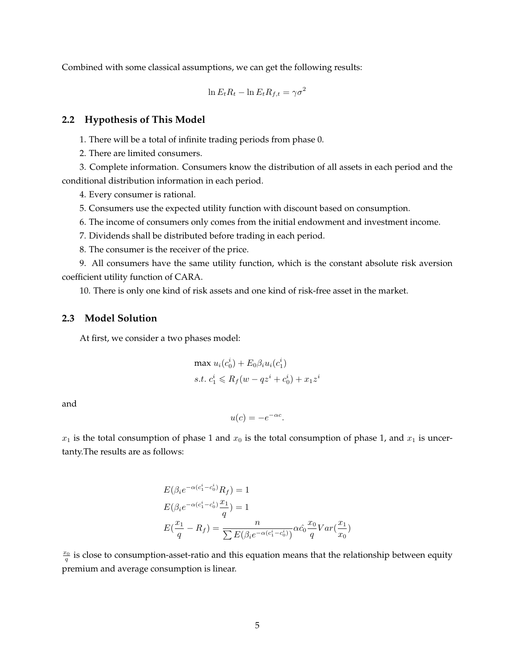Combined with some classical assumptions, we can get the following results:

$$
\ln E_t R_t - \ln E_t R_{f,t} = \gamma \sigma^2
$$

### **2.2 Hypothesis of This Model**

1. There will be a total of infinite trading periods from phase 0.

2. There are limited consumers.

3. Complete information. Consumers know the distribution of all assets in each period and the conditional distribution information in each period.

4. Every consumer is rational.

5. Consumers use the expected utility function with discount based on consumption.

6. The income of consumers only comes from the initial endowment and investment income.

7. Dividends shall be distributed before trading in each period.

8. The consumer is the receiver of the price.

9. All consumers have the same utility function, which is the constant absolute risk aversion coefficient utility function of CARA.

10. There is only one kind of risk assets and one kind of risk-free asset in the market.

### **2.3 Model Solution**

At first, we consider a two phases model:

$$
\max u_i(c_0^i) + E_0 \beta_i u_i(c_1^i)
$$
  
s.t.  $c_1^i \le R_f(w - qz^i + c_0^i) + x_1 z^i$ 

and

$$
u(c) = -e^{-\alpha c}.
$$

 $x_1$  is the total consumption of phase 1 and  $x_0$  is the total consumption of phase 1, and  $x_1$  is uncertanty.The results are as follows:

$$
E(\beta_i e^{-\alpha(c_1^i - c_0^i)} R_f) = 1
$$
  
\n
$$
E(\beta_i e^{-\alpha(c_1^i - c_0^i)} \frac{x_1}{q}) = 1
$$
  
\n
$$
E(\frac{x_1}{q} - R_f) = \frac{n}{\sum E(\beta_i e^{-\alpha(c_1^i - c_0^i)})} \alpha \hat{c}_0 \frac{x_0}{q} Var(\frac{x_1}{x_0})
$$

 $\frac{x_0}{q}$  is close to consumption-asset-ratio and this equation means that the relationship between equity premium and average consumption is linear.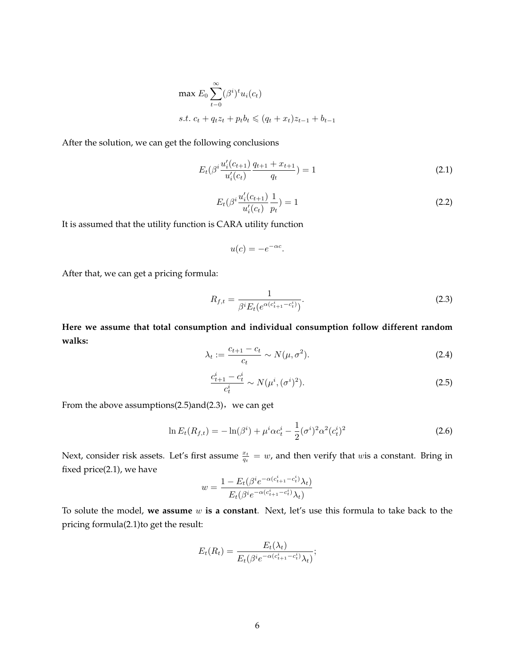$$
\max E_0 \sum_{t=0}^{\infty} (\beta^i)^t u_i(c_t)
$$
  
s.t.  $c_t + q_t z_t + p_t b_t \leq (q_t + x_t) z_{t-1} + b_{t-1}$ 

After the solution, we can get the following conclusions

$$
E_t(\beta^i \frac{u'_i(c_{t+1})}{u'_i(c_t)} \frac{q_{t+1} + x_{t+1}}{q_t}) = 1
$$
\n(2.1)

$$
E_t(\beta^i \frac{u'_i(c_{t+1})}{u'_i(c_t)} \frac{1}{p_t}) = 1
$$
\n(2.2)

It is assumed that the utility function is CARA utility function

$$
u(c) = -e^{-\alpha c}.
$$

After that, we can get a pricing formula:

$$
R_{f,t} = \frac{1}{\beta^i E_t (e^{\alpha(c_{t+1}^i - c_t^i)})}.
$$
\n(2.3)

**Here we assume that total consumption and individual consumption follow different random walks:**

$$
\lambda_t := \frac{c_{t+1} - c_t}{c_t} \sim N(\mu, \sigma^2). \tag{2.4}
$$

$$
\frac{c_{t+1}^i - c_t^i}{c_t^i} \sim N(\mu^i, (\sigma^i)^2). \tag{2.5}
$$

From the above assumptions( $2.5$ ) and $(2.3)$ , we can get

$$
\ln E_t(R_{f,t}) = -\ln(\beta^i) + \mu^i \alpha c_t^i - \frac{1}{2} (\sigma^i)^2 \alpha^2 (c_t^i)^2 \tag{2.6}
$$

Next, consider risk assets. Let's first assume  $\frac{x_t}{q_t} = w$ , and then verify that wis a constant. Bring in fixed price(2.1), we have

$$
w=\frac{1-E_t(\beta^ie^{-\alpha(c_{t+1}^i-c_t^i)}\lambda_t)}{E_t(\beta^ie^{-\alpha(c_{t+1}^i-c_t^i)}\lambda_t)}
$$

To solute the model, **we assume** w **is a constant**. Next, let's use this formula to take back to the pricing formula(2.1)to get the result:

$$
E_t(R_t) = \frac{E_t(\lambda_t)}{E_t(\beta^i e^{-\alpha(c_{t+1}^i - c_t^i)} \lambda_t)};
$$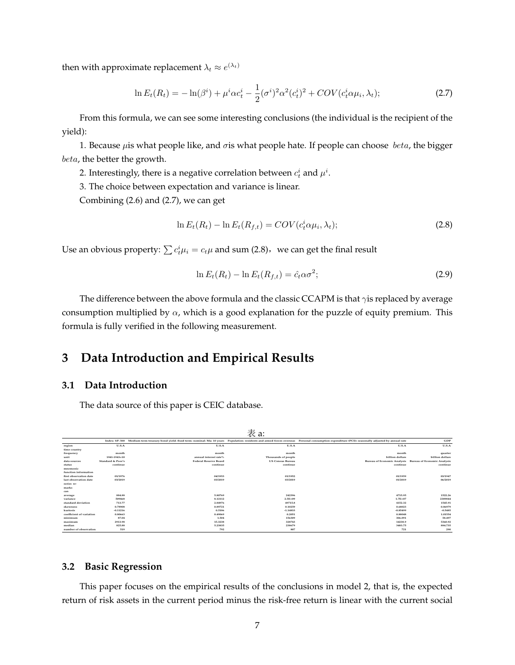then with approximate replacement  $\lambda_t \approx e^{(\lambda_t)}$ 

$$
\ln E_t(R_t) = -\ln(\beta^i) + \mu^i \alpha c_t^i - \frac{1}{2} (\sigma^i)^2 \alpha^2 (c_t^i)^2 + COV(c_t^i \alpha \mu_i, \lambda_t); \tag{2.7}
$$

From this formula, we can see some interesting conclusions (the individual is the recipient of the yield):

1. Because  $\mu$ is what people like, and  $\sigma$ is what people hate. If people can choose beta, the bigger beta, the better the growth.

2. Interestingly, there is a negative correlation between  $c_t^i$  and  $\mu^i.$ 

3. The choice between expectation and variance is linear.

Combining (2.6) and (2.7), we can get

$$
\ln E_t(R_t) - \ln E_t(R_{f,t}) = COV(c_t^i \alpha \mu_i, \lambda_t); \tag{2.8}
$$

Use an obvious property:  $\sum c_t^i \mu_i = c_t \mu$  and sum (2.8), we can get the final result

$$
\ln E_t(R_t) - \ln E_t(R_{f,t}) = \hat{c}_t \alpha \sigma^2; \tag{2.9}
$$

The difference between the above formula and the classic CCAPM is that  $\gamma$ is replaced by average consumption multiplied by  $\alpha$ , which is a good explanation for the puzzle of equity premium. This formula is fully verified in the following measurement.

## **3 Data Introduction and Empirical Results**

### **3.1 Data Introduction**

The data source of this paper is CEIC database.

|                          |                   |                              | 表 a:                    |                                                                                                                                                                                                              |                                                         |
|--------------------------|-------------------|------------------------------|-------------------------|--------------------------------------------------------------------------------------------------------------------------------------------------------------------------------------------------------------|---------------------------------------------------------|
|                          |                   |                              |                         | Index: SP: 500 Medium term treasury bond yield: fixed term: nominal: Ma: 10 years Population: residents and armed forces overseas Personal consumption expenditure (PCE): seasonally adjusted by annual rate | <b>GDP</b>                                              |
| region                   | U.S.A             | U.S.A                        | U.S.A                   | U.S.A                                                                                                                                                                                                        | U.S.A                                                   |
| time country             |                   |                              |                         |                                                                                                                                                                                                              |                                                         |
| frequency                | month             | month                        | month                   | month                                                                                                                                                                                                        | quarter                                                 |
| unit                     | 1941-1943-10      | annual interest rate%        | Thousands of people     | billion dollars                                                                                                                                                                                              | billion dollars                                         |
| data sources             | Standard & Poor's | <b>Federal Reserve Board</b> | <b>US Census Bureau</b> |                                                                                                                                                                                                              | Bureau of Economic Analysis Bureau of Economic Analysis |
| status                   | continue          | continue                     | continue                | continue                                                                                                                                                                                                     | continue                                                |
| mnemonic                 |                   |                              |                         |                                                                                                                                                                                                              |                                                         |
| function information     |                   |                              |                         |                                                                                                                                                                                                              |                                                         |
| first observation date   | 01/1976           | 04/1953                      | 01/1952                 | 01/1959                                                                                                                                                                                                      | 03/1947                                                 |
| last observation date    | 03/2019           | 03/2019                      | 03/2019                 | 01/2019                                                                                                                                                                                                      | 06/2019                                                 |
| series re-               |                   |                              |                         |                                                                                                                                                                                                              |                                                         |
| marks                    |                   |                              |                         |                                                                                                                                                                                                              |                                                         |
| can                      |                   |                              |                         |                                                                                                                                                                                                              |                                                         |
| average                  | 884.88            | 5,80769                      | 242396                  | 4715.95                                                                                                                                                                                                      | 1522.26                                                 |
| variance                 | 509468            | 8.12112                      | $2.5E + 09$             | $1.7E + 07$                                                                                                                                                                                                  | 2389844                                                 |
| standard deviation       | 713.77            | 2.84976                      | 49715.8                 | 4152.32                                                                                                                                                                                                      | 1545.91                                                 |
| skewness                 | 0.78908           | 0.89721                      | 0.10259                 | 0.68023                                                                                                                                                                                                      | 0.86979                                                 |
| kurtosis                 | $-0.11216$        | 0.5186                       | $-1.14833$              | $-0.85499$                                                                                                                                                                                                   | $-0.5485$                                               |
| coefficient of variation | 0.80663           | 0.49069                      | 0.2051                  | 0.88048                                                                                                                                                                                                      | 1.01554                                                 |
| minimum                  | 87.04             | 1.504                        | 156309                  | 306,091                                                                                                                                                                                                      | 58,497                                                  |
| maximum                  | 2913.98           | 15,3238                      | 328743                  | 14238.9                                                                                                                                                                                                      | 5360.92                                                 |
| median                   | 825.88            | 5,23835                      | 238679                  | 3483.75                                                                                                                                                                                                      | 884,735                                                 |
| number of observation    | 519               | 792                          | 807                     | 721                                                                                                                                                                                                          | 290                                                     |

### **3.2 Basic Regression**

This paper focuses on the empirical results of the conclusions in model 2, that is, the expected return of risk assets in the current period minus the risk-free return is linear with the current social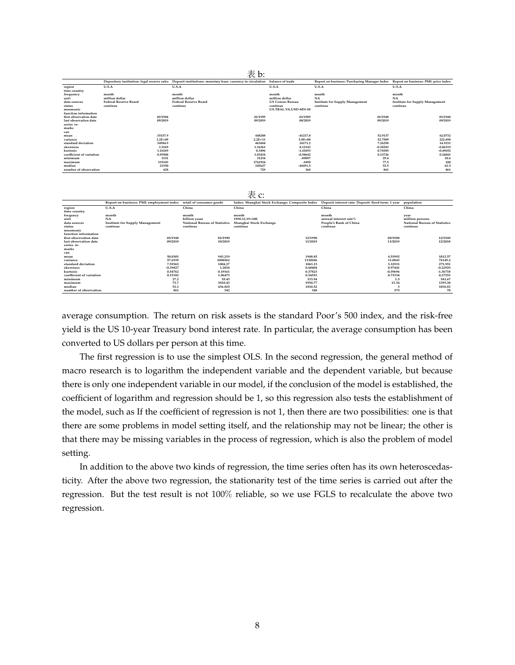|                          |                              | Depository institution: legal reserve ratio  Deposit institutions: monetary base: currency in circulation | balance of trade        | Report on business: Purchasing Manager Index Report on business: PMI: price index |                                        |
|--------------------------|------------------------------|-----------------------------------------------------------------------------------------------------------|-------------------------|-----------------------------------------------------------------------------------|----------------------------------------|
| region<br>time country   | U.S.A                        | U.S.A                                                                                                     | U.S.A                   | U.S.A                                                                             | U.S.A                                  |
| frequency                | month                        | month                                                                                                     | month                   | month                                                                             | month                                  |
| unit                     | million dollar               | million dollar                                                                                            | million dollar          | <b>NA</b>                                                                         | <b>NA</b>                              |
| data sources             | <b>Federal Reserve Board</b> | <b>Federal Reserve Board</b>                                                                              | <b>US Census Bureau</b> | <b>Institute for Supply Management</b>                                            | <b>Institute for Supply Management</b> |
| status                   | continue                     | continue                                                                                                  | continue                | continue                                                                          | continue                               |
| mnemonic                 |                              |                                                                                                           | US.TBAL.VA.USD-MN-M     |                                                                                   |                                        |
| function information     |                              |                                                                                                           |                         |                                                                                   |                                        |
| first observation date   | 02/1984                      | 01/1959                                                                                                   | 01/1989                 | 01/1948                                                                           | 01/1948                                |
| last observation date    | 09/2019                      | 09/2019                                                                                                   | 08/2019                 | 09/2019                                                                           | 09/2019                                |
| series re-               |                              |                                                                                                           |                         |                                                                                   |                                        |
| marks                    |                              |                                                                                                           |                         |                                                                                   |                                        |
| can                      |                              |                                                                                                           |                         |                                                                                   |                                        |
| mean                     | 35157.9                      | 448288                                                                                                    | $-41217.8$              | 52.9137                                                                           | 62.0732                                |
| variance                 | $1.2E + 09$                  | $2.2E + 11$                                                                                               | $5.8E + 0.8$            | 52,7509                                                                           | 222.698                                |
| standard deviation       | 34984.9                      | 463684                                                                                                    | 24171.2                 | 7.26298                                                                           | 14.9231                                |
| skewness                 | 1.5169                       | 1.16561                                                                                                   | 0.12143                 | $-0.30383$                                                                        | $-0.06319$                             |
| kurtosis                 | 1.16269                      | 0.3496                                                                                                    | $-1.41693$              | 0.76585                                                                           | $-0.49652$                             |
| coefficient of variation | 0.99508                      | 1.03434                                                                                                   | $-0.58642$              | 0.13726                                                                           | 0.24041                                |
| minimum                  | 3151                         | 31234                                                                                                     | -89097                  | 29.4                                                                              | 10.6                                   |
| maximum                  | 135103                       | 1762924                                                                                                   | $-1890$                 | 77.5                                                                              | 100                                    |
| median                   | 23350                        | 245627                                                                                                    | $-44491.5$              | 53.5                                                                              | 62.5                                   |
| number of observation    | 428                          | 729                                                                                                       | 368                     | 861                                                                               | 861                                    |

|                          |                                                                    |                                      | 表 c:                                                                                                          |                        |                                      |
|--------------------------|--------------------------------------------------------------------|--------------------------------------|---------------------------------------------------------------------------------------------------------------|------------------------|--------------------------------------|
|                          | Report on business: PMI: employment index retail of consumer goods |                                      | Index: Shanghai Stock Exchange: Composite Index Deposit interest rate: Deposit: fixed term: 1 year population |                        |                                      |
| region<br>time country   | U.S.A                                                              | China                                | China                                                                                                         | China                  | China                                |
| frequncy                 | month                                                              | month                                | month                                                                                                         | month                  | year                                 |
| unit                     | <b>NA</b>                                                          | billion yuan                         | 1990.12.19=100                                                                                                | annual interest rate%  | million persons                      |
| data sources             | <b>Institute for Supply Management</b>                             | <b>National Bureau of Statistics</b> | Shanghai Stock Exchange                                                                                       | People's Bank of China | <b>National Bureau of Statistics</b> |
| status                   | continue                                                           | continue                             | continue                                                                                                      | continue               | continue                             |
| mnemonic                 |                                                                    |                                      |                                                                                                               |                        |                                      |
| function information     |                                                                    |                                      |                                                                                                               |                        |                                      |
| first observation date   | 01/1948                                                            | 01/1990                              | 12/1990                                                                                                       | 09/1988                | 12/1949                              |
| last observation date    | 09/2019                                                            | 10/2019                              | 11/2019                                                                                                       | 11/2019                | 12/2018                              |
| series re-               |                                                                    |                                      |                                                                                                               |                        |                                      |
| marks                    |                                                                    |                                      |                                                                                                               |                        |                                      |
| can                      |                                                                    |                                      |                                                                                                               |                        |                                      |
| mean                     | 50.0301                                                            | 943.219                              | 1948.85                                                                                                       | 4.53992                | 1012.57                              |
| variance                 | 57,6939                                                            | 1008562                              | 1130286                                                                                                       | 11,0843                | 76149.2                              |
| standard deviation       | 7.59565                                                            | 1004.27                              | 1063.15                                                                                                       | 3.32931                | 275.951                              |
| skewness                 | $-0.39827$                                                         | 1.2034                               | 0.60404                                                                                                       | 0.97441                | $-0.22925$                           |
| kurtosis                 | 0.54762                                                            | 0.19161                              | 0.37823                                                                                                       | $-0.59696$             | $-1.36718$                           |
| coefficient of variation | 0.15182                                                            | 1.06473                              | 0.54553                                                                                                       | 0.73334                | 0.27253                              |
| minimum                  |                                                                    | 27.2<br>55.43                        | 113.94                                                                                                        | 1.5                    | 541.67                               |
| maximum                  |                                                                    | 73.7<br>3810.43                      | 5954.77                                                                                                       | 11.34                  | 1395.38                              |
| median                   |                                                                    | 51.1<br>436.825                      | 1810.52                                                                                                       | з                      | 1036.83                              |
| number of observation    |                                                                    | 861<br>342                           | 348                                                                                                           | 375                    | 70                                   |

average consumption. The return on risk assets is the standard Poor's 500 index, and the risk-free yield is the US 10-year Treasury bond interest rate. In particular, the average consumption has been converted to US dollars per person at this time.

The first regression is to use the simplest OLS. In the second regression, the general method of macro research is to logarithm the independent variable and the dependent variable, but because there is only one independent variable in our model, if the conclusion of the model is established, the coefficient of logarithm and regression should be 1, so this regression also tests the establishment of the model, such as If the coefficient of regression is not 1, then there are two possibilities: one is that there are some problems in model setting itself, and the relationship may not be linear; the other is that there may be missing variables in the process of regression, which is also the problem of model setting.

In addition to the above two kinds of regression, the time series often has its own heteroscedasticity. After the above two regression, the stationarity test of the time series is carried out after the regression. But the test result is not 100% reliable, so we use FGLS to recalculate the above two regression.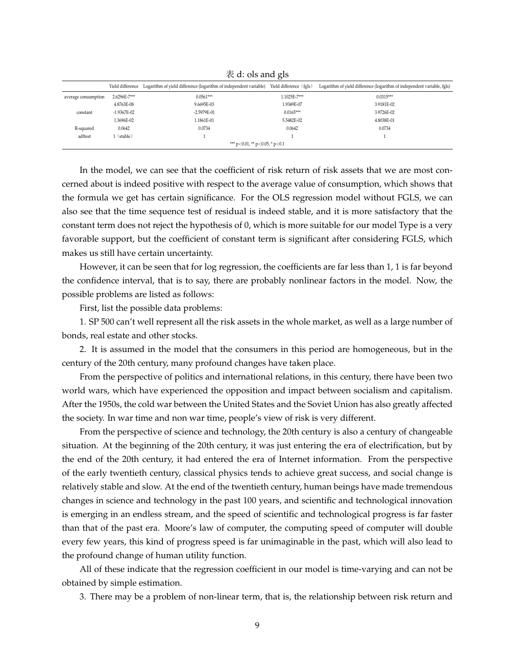|                                        | $\sim$ $\sim$ $\sim$ $\sim$ |                                                                                    |                         |                                                                         |  |  |
|----------------------------------------|-----------------------------|------------------------------------------------------------------------------------|-------------------------|-------------------------------------------------------------------------|--|--|
|                                        |                             | Yield difference Logarithm of yield difference (logarithm of independent variable) | Yield difference (fgls) | Logarithm of yield difference (logarithm of independent variable, fgls) |  |  |
| average consumption                    | 2.6296E-7***                | $0.0561***$                                                                        | 1.1025E-7***            | $0.0315***$                                                             |  |  |
|                                        | 4.8763E-08                  | 9.6695E-03                                                                         | 1.9349E-07              | 3.9181E-02                                                              |  |  |
| constant                               | $-1.9367E - 02$             | -2.5979E-01                                                                        | $0.0165***$             | 3.9726E-02                                                              |  |  |
|                                        | 1.3696E-02                  | 1.1861E-01                                                                         | 5.5482E-02              | 4.8038E-01                                                              |  |  |
| R-squared                              | 0.0642                      | 0.0734                                                                             | 0.0642                  | 0.0734                                                                  |  |  |
| adftest                                | (stable)                    |                                                                                    |                         |                                                                         |  |  |
| *** $p<0.01$ , ** $p<0.05$ , * $p<0.1$ |                             |                                                                                    |                         |                                                                         |  |  |

 $\overline{\mathcal{R}}$  d: ols and gls

In the model, we can see that the coefficient of risk return of risk assets that we are most concerned about is indeed positive with respect to the average value of consumption, which shows that the formula we get has certain significance. For the OLS regression model without FGLS, we can also see that the time sequence test of residual is indeed stable, and it is more satisfactory that the constant term does not reject the hypothesis of 0, which is more suitable for our model Type is a very favorable support, but the coefficient of constant term is significant after considering FGLS, which makes us still have certain uncertainty.

However, it can be seen that for log regression, the coefficients are far less than 1, 1 is far beyond the confidence interval, that is to say, there are probably nonlinear factors in the model. Now, the possible problems are listed as follows:

First, list the possible data problems:

1. SP 500 can't well represent all the risk assets in the whole market, as well as a large number of bonds, real estate and other stocks.

2. It is assumed in the model that the consumers in this period are homogeneous, but in the century of the 20th century, many profound changes have taken place.

From the perspective of politics and international relations, in this century, there have been two world wars, which have experienced the opposition and impact between socialism and capitalism. After the 1950s, the cold war between the United States and the Soviet Union has also greatly affected the society. In war time and non war time, people's view of risk is very different.

From the perspective of science and technology, the 20th century is also a century of changeable situation. At the beginning of the 20th century, it was just entering the era of electrification, but by the end of the 20th century, it had entered the era of Internet information. From the perspective of the early twentieth century, classical physics tends to achieve great success, and social change is relatively stable and slow. At the end of the twentieth century, human beings have made tremendous changes in science and technology in the past 100 years, and scientific and technological innovation is emerging in an endless stream, and the speed of scientific and technological progress is far faster than that of the past era. Moore's law of computer, the computing speed of computer will double every few years, this kind of progress speed is far unimaginable in the past, which will also lead to the profound change of human utility function.

All of these indicate that the regression coefficient in our model is time-varying and can not be obtained by simple estimation.

3. There may be a problem of non-linear term, that is, the relationship between risk return and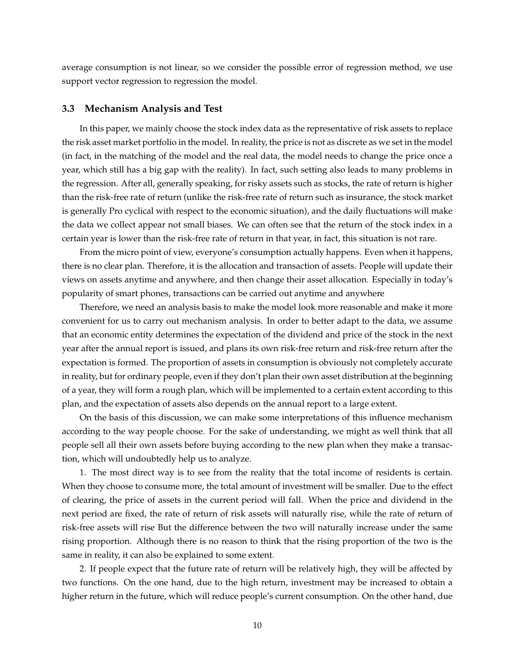average consumption is not linear, so we consider the possible error of regression method, we use support vector regression to regression the model.

#### **3.3 Mechanism Analysis and Test**

In this paper, we mainly choose the stock index data as the representative of risk assets to replace the risk asset market portfolio in the model. In reality, the price is not as discrete as we set in the model (in fact, in the matching of the model and the real data, the model needs to change the price once a year, which still has a big gap with the reality). In fact, such setting also leads to many problems in the regression. After all, generally speaking, for risky assets such as stocks, the rate of return is higher than the risk-free rate of return (unlike the risk-free rate of return such as insurance, the stock market is generally Pro cyclical with respect to the economic situation), and the daily fluctuations will make the data we collect appear not small biases. We can often see that the return of the stock index in a certain year is lower than the risk-free rate of return in that year, in fact, this situation is not rare.

From the micro point of view, everyone's consumption actually happens. Even when it happens, there is no clear plan. Therefore, it is the allocation and transaction of assets. People will update their views on assets anytime and anywhere, and then change their asset allocation. Especially in today's popularity of smart phones, transactions can be carried out anytime and anywhere

Therefore, we need an analysis basis to make the model look more reasonable and make it more convenient for us to carry out mechanism analysis. In order to better adapt to the data, we assume that an economic entity determines the expectation of the dividend and price of the stock in the next year after the annual report is issued, and plans its own risk-free return and risk-free return after the expectation is formed. The proportion of assets in consumption is obviously not completely accurate in reality, but for ordinary people, even if they don't plan their own asset distribution at the beginning of a year, they will form a rough plan, which will be implemented to a certain extent according to this plan, and the expectation of assets also depends on the annual report to a large extent.

On the basis of this discussion, we can make some interpretations of this influence mechanism according to the way people choose. For the sake of understanding, we might as well think that all people sell all their own assets before buying according to the new plan when they make a transaction, which will undoubtedly help us to analyze.

1. The most direct way is to see from the reality that the total income of residents is certain. When they choose to consume more, the total amount of investment will be smaller. Due to the effect of clearing, the price of assets in the current period will fall. When the price and dividend in the next period are fixed, the rate of return of risk assets will naturally rise, while the rate of return of risk-free assets will rise But the difference between the two will naturally increase under the same rising proportion. Although there is no reason to think that the rising proportion of the two is the same in reality, it can also be explained to some extent.

2. If people expect that the future rate of return will be relatively high, they will be affected by two functions. On the one hand, due to the high return, investment may be increased to obtain a higher return in the future, which will reduce people's current consumption. On the other hand, due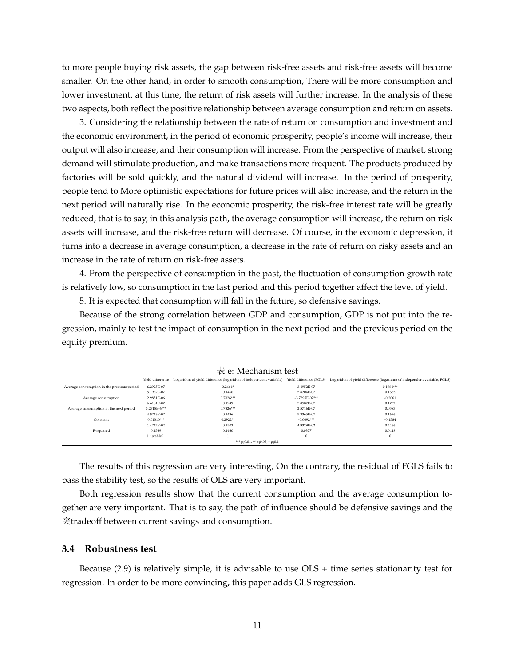to more people buying risk assets, the gap between risk-free assets and risk-free assets will become smaller. On the other hand, in order to smooth consumption, There will be more consumption and lower investment, at this time, the return of risk assets will further increase. In the analysis of these two aspects, both reflect the positive relationship between average consumption and return on assets.

3. Considering the relationship between the rate of return on consumption and investment and the economic environment, in the period of economic prosperity, people's income will increase, their output will also increase, and their consumption will increase. From the perspective of market, strong demand will stimulate production, and make transactions more frequent. The products produced by factories will be sold quickly, and the natural dividend will increase. In the period of prosperity, people tend to More optimistic expectations for future prices will also increase, and the return in the next period will naturally rise. In the economic prosperity, the risk-free interest rate will be greatly reduced, that is to say, in this analysis path, the average consumption will increase, the return on risk assets will increase, and the risk-free return will decrease. Of course, in the economic depression, it turns into a decrease in average consumption, a decrease in the rate of return on risky assets and an increase in the rate of return on risk-free assets.

4. From the perspective of consumption in the past, the fluctuation of consumption growth rate is relatively low, so consumption in the last period and this period together affect the level of yield.

5. It is expected that consumption will fall in the future, so defensive savings.

Because of the strong correlation between GDP and consumption, GDP is not put into the regression, mainly to test the impact of consumption in the next period and the previous period on the equity premium.

|                                            | Yield difference | Logarithm of yield difference (logarithm of independent variable) | Yield difference (FGLS) | Logarithm of yield difference (logarithm of independent variable, FGLS) |
|--------------------------------------------|------------------|-------------------------------------------------------------------|-------------------------|-------------------------------------------------------------------------|
| Average consumption in the previous period | 6.2925E-07       | $0.2664*$                                                         | 3.4952E-07              | $0.1964***$                                                             |
|                                            | 5.1932E-07       | 0.1466                                                            | 5.8204E-07              | 0.1685                                                                  |
| Average consumption                        | 2.9851E-06       | $0.7826***$                                                       | -3.7395E-07***          | $-0.2061$                                                               |
|                                            | 6.6181E-07       | 0.1949                                                            | 5.8582E-07              | 0.1752                                                                  |
| Average consumption in the next period     | 3.2615E-6***     | $0.7826***$                                                       | 2.5716E-07              | 0.0583                                                                  |
|                                            | 4.9743E-07       | 0.1496                                                            | 5.3365E-07              | 0.1676                                                                  |
| Constant                                   | $0.01310***$     | $0.2922**$                                                        | $-0.0092***$            | $-0.1584$                                                               |
|                                            | 1.4742E-02       | 0.1503                                                            | 4.9329E-02              | 0.4466                                                                  |
| R-squared                                  | 0.1569           | 0.1460                                                            | 0.0377                  | 0.0448                                                                  |
|                                            | (stable)         |                                                                   | $\mathbf{0}$            | $\mathbf{0}$                                                            |
|                                            |                  | *** $p_i$ 0.01, ** $p_i$ 0.05, * $p_i$ 0.1                        |                         |                                                                         |

表 e: Mechanism test

The results of this regression are very interesting, On the contrary, the residual of FGLS fails to pass the stability test, so the results of OLS are very important.

Both regression results show that the current consumption and the average consumption together are very important. That is to say, the path of influence should be defensive savings and the 突tradeoff between current savings and consumption.

#### **3.4 Robustness test**

Because (2.9) is relatively simple, it is advisable to use OLS + time series stationarity test for regression. In order to be more convincing, this paper adds GLS regression.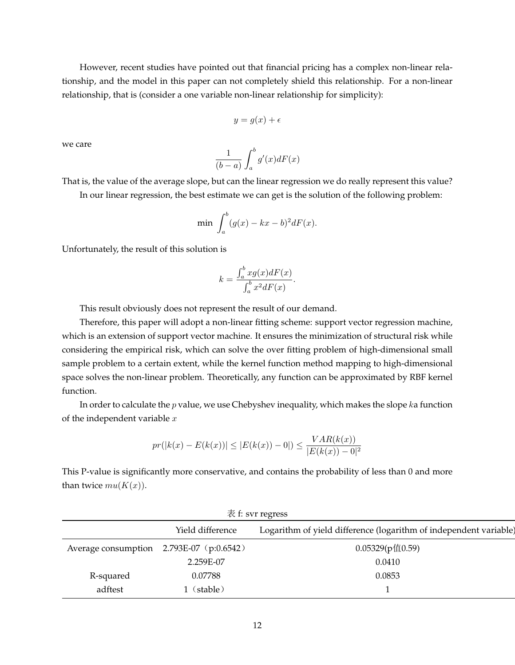However, recent studies have pointed out that financial pricing has a complex non-linear relationship, and the model in this paper can not completely shield this relationship. For a non-linear relationship, that is (consider a one variable non-linear relationship for simplicity):

$$
y = g(x) + \epsilon
$$

we care

$$
\frac{1}{(b-a)} \int_a^b g'(x) dF(x)
$$

That is, the value of the average slope, but can the linear regression we do really represent this value?

In our linear regression, the best estimate we can get is the solution of the following problem:

$$
\min \int_a^b (g(x) - kx - b)^2 dF(x).
$$

Unfortunately, the result of this solution is

$$
k = \frac{\int_a^b x g(x) dF(x)}{\int_a^b x^2 dF(x)}.
$$

This result obviously does not represent the result of our demand.

Therefore, this paper will adopt a non-linear fitting scheme: support vector regression machine, which is an extension of support vector machine. It ensures the minimization of structural risk while considering the empirical risk, which can solve the over fitting problem of high-dimensional small sample problem to a certain extent, while the kernel function method mapping to high-dimensional space solves the non-linear problem. Theoretically, any function can be approximated by RBF kernel function.

In order to calculate the  $p$  value, we use Chebyshev inequality, which makes the slope  $k$ a function of the independent variable  $x$ 

$$
pr(|k(x) - E(k(x))| \le |E(k(x)) - 0|) \le \frac{VAR(k(x))}{|E(k(x)) - 0|^2}
$$

This P-value is significantly more conservative, and contains the probability of less than 0 and more than twice  $mu(K(x))$ .

| 表 f: svr regress                         |                  |                                                                   |  |  |
|------------------------------------------|------------------|-------------------------------------------------------------------|--|--|
|                                          | Yield difference | Logarithm of yield difference (logarithm of independent variable) |  |  |
| Average consumption 2.793E-07 (p:0.6542) |                  | 0.05329(p值0.59)                                                   |  |  |
|                                          | 2.259E-07        | 0.0410                                                            |  |  |
| R-squared                                | 0.07788          | 0.0853                                                            |  |  |
| adftest                                  | (stable)         |                                                                   |  |  |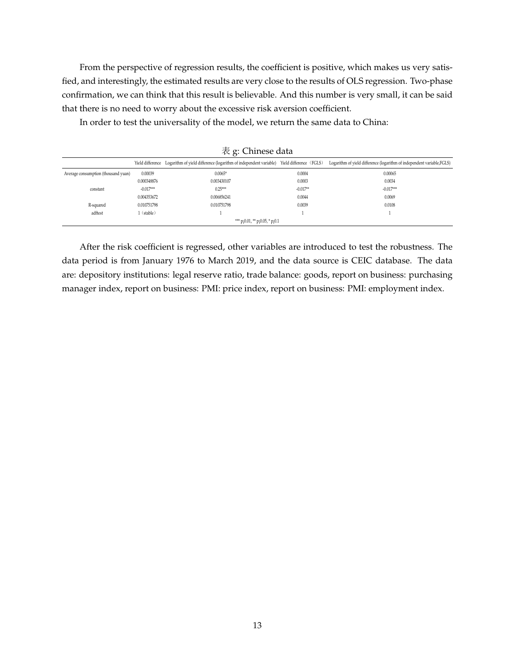From the perspective of regression results, the coefficient is positive, which makes us very satisfied, and interestingly, the estimated results are very close to the results of OLS regression. Two-phase confirmation, we can think that this result is believable. And this number is very small, it can be said that there is no need to worry about the excessive risk aversion coefficient.

In order to test the universality of the model, we return the same data to China:

|                                     | $\sim$ 5. CHRICOC data |                                                                                                            |            |                                                                         |  |
|-------------------------------------|------------------------|------------------------------------------------------------------------------------------------------------|------------|-------------------------------------------------------------------------|--|
|                                     |                        | Yield difference Logarithm of yield difference (logarithm of independent variable) Yield difference (FGLS) |            | Logarithm of yield difference (logarithm of independent variable, FGLS) |  |
| Average consumption (thousand yuan) | 0.00039                | $0.0065*$                                                                                                  | 0.0004     | 0.00065                                                                 |  |
|                                     | 0.000348876            | 0.003430107                                                                                                | 0.0003     | 0.0034                                                                  |  |
| constant                            | $-0.017***$            | $0.25***$                                                                                                  | $-0.017**$ | $-0.017***$                                                             |  |
|                                     | 0.004353672            | 0.006856241                                                                                                | 0.0044     | 0.0069                                                                  |  |
| R-squared                           | 0.010751798            | 0.010751798                                                                                                | 0.0039     | 0.0108                                                                  |  |
| adftest                             | (stable)               |                                                                                                            |            |                                                                         |  |
|                                     |                        | *** $p_1$ 0.01, ** $p_1$ 0.05, * $p_1$ 0.1                                                                 |            |                                                                         |  |
|                                     |                        |                                                                                                            |            |                                                                         |  |

表 g: Chinese data

After the risk coefficient is regressed, other variables are introduced to test the robustness. The data period is from January 1976 to March 2019, and the data source is CEIC database. The data are: depository institutions: legal reserve ratio, trade balance: goods, report on business: purchasing manager index, report on business: PMI: price index, report on business: PMI: employment index.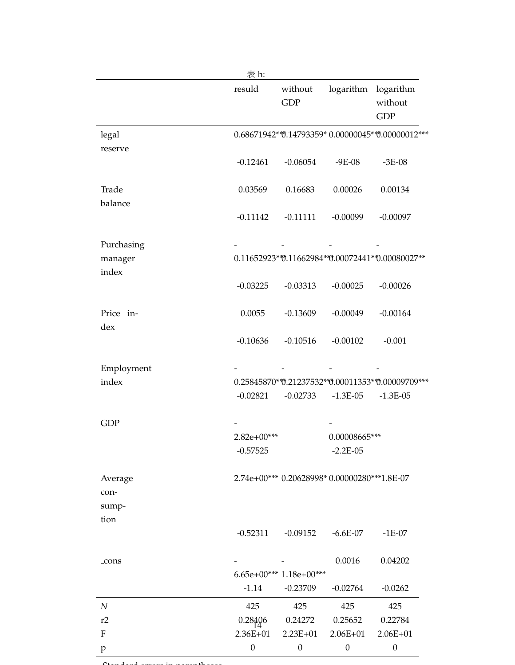|                  | 表 h:             |                          |                                                   |                                              |
|------------------|------------------|--------------------------|---------------------------------------------------|----------------------------------------------|
|                  | resuld           | without<br><b>GDP</b>    |                                                   | logarithm logarithm<br>without<br><b>GDP</b> |
| legal            |                  |                          | 0.68671942**0.14793359*0.00000045**0.00000012***  |                                              |
| reserve          |                  |                          |                                                   |                                              |
|                  | $-0.12461$       | $-0.06054$               | $-9E-08$                                          | $-3E-08$                                     |
| Trade            | 0.03569          | 0.16683                  | 0.00026                                           | 0.00134                                      |
| balance          |                  |                          |                                                   |                                              |
|                  | $-0.11142$       | $-0.11111$               | $-0.00099$                                        | $-0.00097$                                   |
| Purchasing       |                  |                          |                                                   |                                              |
| manager          |                  |                          | 0.11652923**0.11662984**0.00072441**0.00080027**  |                                              |
| index            |                  |                          |                                                   |                                              |
|                  | $-0.03225$       | $-0.03313$               | $-0.00025$                                        | $-0.00026$                                   |
| Price in-        | 0.0055           | $-0.13609$               | $-0.00049$                                        | $-0.00164$                                   |
| dex              |                  |                          |                                                   |                                              |
|                  | $-0.10636$       | $-0.10516$               | $-0.00102$                                        | $-0.001$                                     |
| Employment       |                  |                          |                                                   |                                              |
| index            |                  |                          | 0.25845870**0.21237532**0.00011353**0.00009709*** |                                              |
|                  | $-0.02821$       | $-0.02733$               | $-1.3E-05$                                        | $-1.3E-05$                                   |
| <b>GDP</b>       |                  |                          |                                                   |                                              |
|                  | $2.82e+00***$    |                          | 0.00008665***                                     |                                              |
|                  | $-0.57525$       |                          | $-2.2E-05$                                        |                                              |
| Average          |                  |                          | 2.74e+00*** 0.20628998* 0.00000280***1.8E-07      |                                              |
| con-             |                  |                          |                                                   |                                              |
| sump-            |                  |                          |                                                   |                                              |
| tion             |                  |                          |                                                   |                                              |
|                  | $-0.52311$       | $-0.09152$               | $-6.6E-07$                                        | $-1E-07$                                     |
| _cons            |                  |                          | 0.0016                                            | 0.04202                                      |
|                  |                  | $6.65e+00***1.18e+00***$ |                                                   |                                              |
|                  | $-1.14$          | $-0.23709$               | $-0.02764$                                        | $-0.0262$                                    |
| $\boldsymbol{N}$ | 425              | 425                      | 425                                               | 425                                          |
| r2               | 0.28406          | 0.24272                  | 0.25652                                           | 0.22784                                      |
| ${\bf F}$        | $2.36E + 01$     | $2.23E+01$               | $2.06E + 01$                                      | $2.06E + 01$                                 |
| p                | $\boldsymbol{0}$ | $\boldsymbol{0}$         | $\boldsymbol{0}$                                  | $\boldsymbol{0}$                             |

 $\mathcal{C}$ tandard errors in parenthesesses in particular in parentheses in parentheses in particular in parentheses in  $\mathcal{C}$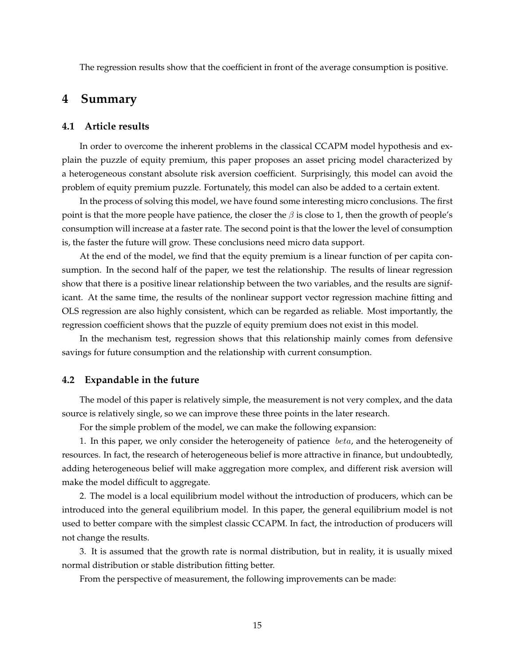The regression results show that the coefficient in front of the average consumption is positive.

### **4 Summary**

### **4.1 Article results**

In order to overcome the inherent problems in the classical CCAPM model hypothesis and explain the puzzle of equity premium, this paper proposes an asset pricing model characterized by a heterogeneous constant absolute risk aversion coefficient. Surprisingly, this model can avoid the problem of equity premium puzzle. Fortunately, this model can also be added to a certain extent.

In the process of solving this model, we have found some interesting micro conclusions. The first point is that the more people have patience, the closer the  $\beta$  is close to 1, then the growth of people's consumption will increase at a faster rate. The second point is that the lower the level of consumption is, the faster the future will grow. These conclusions need micro data support.

At the end of the model, we find that the equity premium is a linear function of per capita consumption. In the second half of the paper, we test the relationship. The results of linear regression show that there is a positive linear relationship between the two variables, and the results are significant. At the same time, the results of the nonlinear support vector regression machine fitting and OLS regression are also highly consistent, which can be regarded as reliable. Most importantly, the regression coefficient shows that the puzzle of equity premium does not exist in this model.

In the mechanism test, regression shows that this relationship mainly comes from defensive savings for future consumption and the relationship with current consumption.

### **4.2 Expandable in the future**

The model of this paper is relatively simple, the measurement is not very complex, and the data source is relatively single, so we can improve these three points in the later research.

For the simple problem of the model, we can make the following expansion:

1. In this paper, we only consider the heterogeneity of patience beta, and the heterogeneity of resources. In fact, the research of heterogeneous belief is more attractive in finance, but undoubtedly, adding heterogeneous belief will make aggregation more complex, and different risk aversion will make the model difficult to aggregate.

2. The model is a local equilibrium model without the introduction of producers, which can be introduced into the general equilibrium model. In this paper, the general equilibrium model is not used to better compare with the simplest classic CCAPM. In fact, the introduction of producers will not change the results.

3. It is assumed that the growth rate is normal distribution, but in reality, it is usually mixed normal distribution or stable distribution fitting better.

From the perspective of measurement, the following improvements can be made: